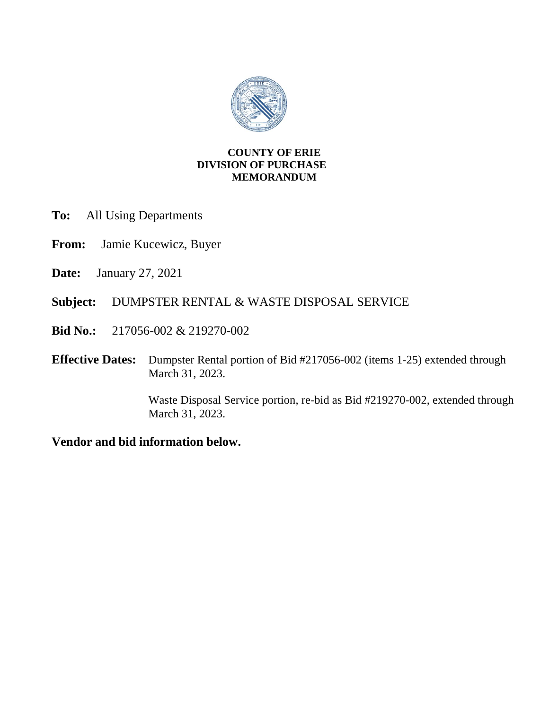

# **COUNTY OF ERIE DIVISION OF PURCHASE MEMORANDUM**

- **To:** All Using Departments
- **From:** Jamie Kucewicz, Buyer
- **Date:** January 27, 2021
- **Subject:** DUMPSTER RENTAL & WASTE DISPOSAL SERVICE
- **Bid No.:** 217056-002 & 219270-002
- **Effective Dates:** Dumpster Rental portion of Bid #217056-002 (items 1-25) extended through March 31, 2023.

Waste Disposal Service portion, re-bid as Bid #219270-002, extended through March 31, 2023.

**Vendor and bid information below.**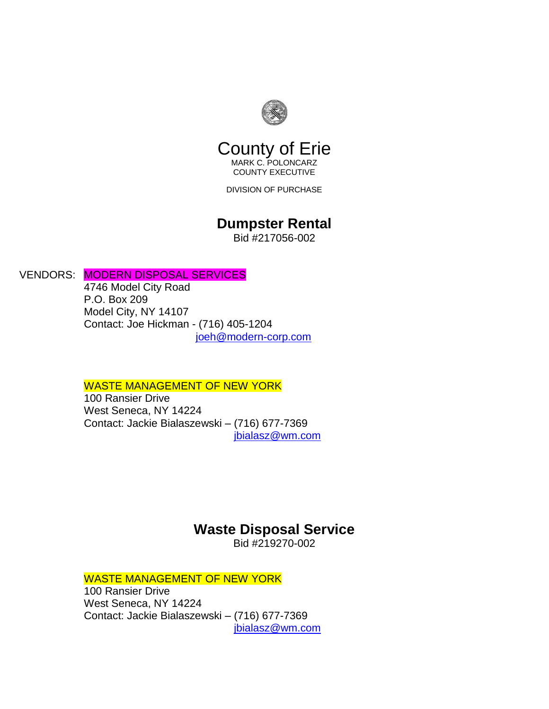

# County of Erie

MARK C. POLONCARZ COUNTY EXECUTIVE

DIVISION OF PURCHASE

# **Dumpster Rental**

Bid #217056-002

# VENDORS: MODERN DISPOSAL SERVICES

4746 Model City Road P.O. Box 209 Model City, NY 14107 Contact: Joe Hickman - (716) 405-1204 [joeh@modern-corp.com](mailto:joeh@modern-corp.com)

## WASTE MANAGEMENT OF NEW YORK

100 Ransier Drive West Seneca, NY 14224 Contact: Jackie Bialaszewski – (716) 677-7369 [jbialasz@wm.com](mailto:jbialasz@wm.com)

# **Waste Disposal Service**

Bid #219270-002

# WASTE MANAGEMENT OF NEW YORK

100 Ransier Drive West Seneca, NY 14224 Contact: Jackie Bialaszewski – (716) 677-7369 [jbialasz@wm.com](mailto:jbialasz@wm.com)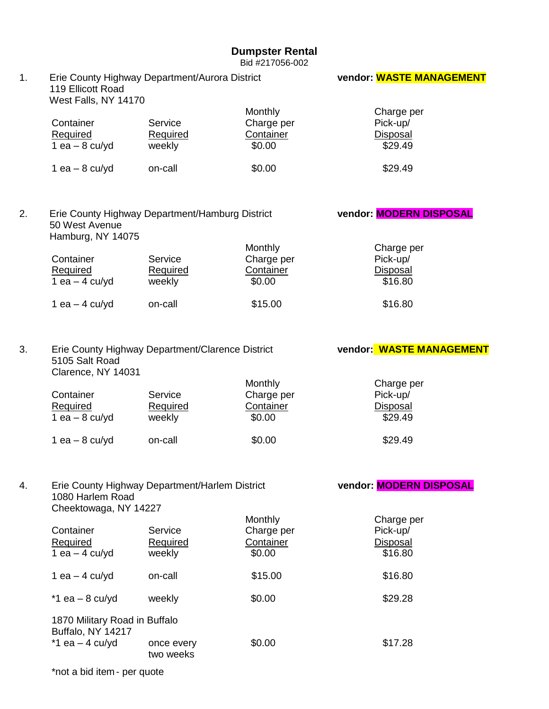## **Dumpster Rental**

Bid #217056-002

| 1. | Erie County Highway Department/Aurora District<br>119 Ellicott Road<br>West Falls, NY 14170 |                                                  |            | <b>vendor: WASTE MANAGEMENT</b> |
|----|---------------------------------------------------------------------------------------------|--------------------------------------------------|------------|---------------------------------|
|    |                                                                                             |                                                  | Monthly    | Charge per                      |
|    | Container                                                                                   | Service                                          | Charge per | Pick-up/                        |
|    | <b>Required</b>                                                                             | <b>Required</b>                                  | Container  | <b>Disposal</b>                 |
|    | $1$ ea $-$ 8 cu/yd                                                                          | weekly                                           | \$0.00     | \$29.49                         |
|    |                                                                                             |                                                  |            |                                 |
|    | 1 ea $-$ 8 cu/yd                                                                            | on-call                                          | \$0.00     | \$29.49                         |
| 2. | 50 West Avenue<br>Hamburg, NY 14075                                                         | Erie County Highway Department/Hamburg District  |            | vendor: MODERN DISPOSAL         |
|    |                                                                                             |                                                  | Monthly    | Charge per                      |
|    | Container                                                                                   | Service                                          | Charge per | Pick-up/                        |
|    | <b>Required</b>                                                                             | Required                                         | Container  | <b>Disposal</b>                 |
|    | 1 ea $-$ 4 cu/yd                                                                            | weekly                                           | \$0.00     | \$16.80                         |
|    | 1 ea $-$ 4 cu/yd                                                                            | on-call                                          | \$15.00    | \$16.80                         |
| 3. | 5105 Salt Road                                                                              | Erie County Highway Department/Clarence District |            | vendor: WASTE MANAGEMENT        |
|    | Clarence, NY 14031                                                                          |                                                  |            |                                 |
|    |                                                                                             |                                                  | Monthly    | Charge per                      |
|    | Container                                                                                   | Service                                          | Charge per | Pick-up/                        |
|    | Required                                                                                    | Required                                         | Container  | <b>Disposal</b>                 |
|    | 1 ea $-$ 8 cu/yd                                                                            | weekly                                           | \$0.00     | \$29.49                         |
|    |                                                                                             |                                                  |            |                                 |
|    | 1 ea $-$ 8 cu/yd                                                                            | on-call                                          | \$0.00     | \$29.49                         |
| 4. | 1080 Harlem Road                                                                            | Erie County Highway Department/Harlem District   |            | vendor: MODERN DISPOSAL         |
|    | Cheektowaga, NY 14227                                                                       |                                                  |            |                                 |
|    |                                                                                             |                                                  | Monthly    | Charge per                      |
|    | Container                                                                                   | Service                                          | Charge per | Pick-up/                        |
|    | <b>Required</b>                                                                             | Required                                         | Container  | <b>Disposal</b>                 |
|    | 1 ea $-$ 4 cu/yd                                                                            | weekly                                           | \$0.00     | \$16.80                         |
|    |                                                                                             |                                                  |            |                                 |
|    | 1 ea $-$ 4 cu/yd                                                                            | on-call                                          | \$15.00    | \$16.80                         |
|    | $*1$ ea - 8 cu/yd                                                                           | weekly                                           | \$0.00     | \$29.28                         |
|    | 1870 Military Road in Buffalo<br>Buffalo, NY 14217                                          |                                                  |            |                                 |
|    | $*1$ ea - 4 cu/yd                                                                           | once every<br>two weeks                          | \$0.00     | \$17.28                         |
|    |                                                                                             |                                                  |            |                                 |

\*not a bid item - per quote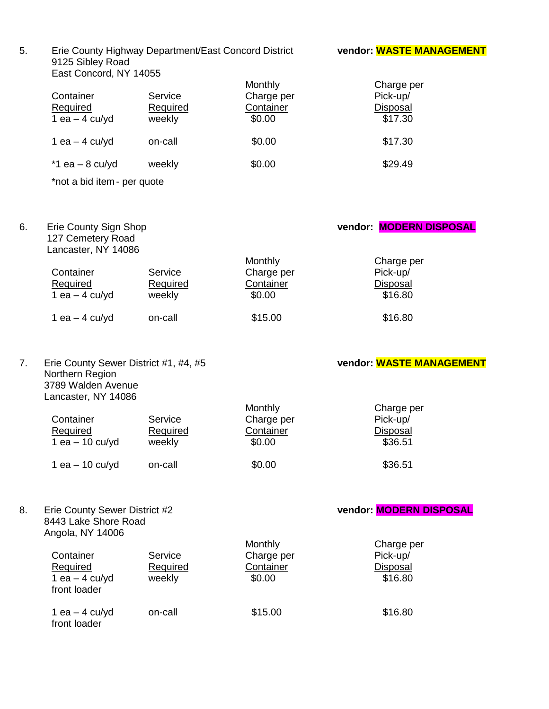5. Erie County Highway Department/East Concord District **vendor: WASTE MANAGEMENT** 9125 Sibley Road East Concord, NY 14055

| Container<br><b>Required</b><br>1 ea $-$ 4 cu/yd | Service<br>Required<br>weekly | Monthly<br>Charge per<br>Container<br>\$0.00 | Charge per<br>Pick-up/<br><b>Disposal</b><br>\$17.30 |
|--------------------------------------------------|-------------------------------|----------------------------------------------|------------------------------------------------------|
| 1 ea $-$ 4 cu/yd                                 | on-call                       | \$0.00                                       | \$17.30                                              |
| $*1$ ea - 8 cu/yd                                | weekly                        | \$0.00                                       | \$29.49                                              |

\*not a bid item - per quote

6. Erie County Sign Shop **vendor: MODERN DISPOSAL** 127 Cemetery Road Lancaster, NY 14086

| Container<br><b>Required</b><br>1 ea $-$ 4 cu/yd | Service<br>Required<br>weekly | Monthly<br>Charge per<br>Container<br>\$0.00 | Charge per<br>Pick-up/<br>Disposal<br>\$16.80 |
|--------------------------------------------------|-------------------------------|----------------------------------------------|-----------------------------------------------|
| 1 ea $-$ 4 cu/yd                                 | on-call                       | \$15.00                                      | \$16.80                                       |

7. Erie County Sewer District #1, #4, #5 **vendor: WASTE MANAGEMENT** Northern Region 3789 Walden Avenue Lancaster, NY 14086

8443 Lake Shore Road

|                 |          | Monthly    | Charge per      |
|-----------------|----------|------------|-----------------|
| Container       | Service  | Charge per | Pick-up/        |
| Required        | Required | Container  | <b>Disposal</b> |
| 1 ea - 10 cu/yd | weekly   | \$0.00     | \$36.51         |
| 1 ea - 10 cu/yd | on-call  | \$0.00     | \$36.51         |

# 8. Erie County Sewer District #2 **by County Seminary Property Country Servers 8. Country Seminary Property Country Servers**

| Angola, NY 14006                                          |                               |                                              |                                                      |
|-----------------------------------------------------------|-------------------------------|----------------------------------------------|------------------------------------------------------|
| Container<br>Required<br>1 ea $-$ 4 cu/yd<br>front loader | Service<br>Required<br>weekly | Monthly<br>Charge per<br>Container<br>\$0.00 | Charge per<br>Pick-up/<br><b>Disposal</b><br>\$16.80 |
| 1 ea $-$ 4 cu/yd<br>front loader                          | on-call                       | \$15.00                                      | \$16.80                                              |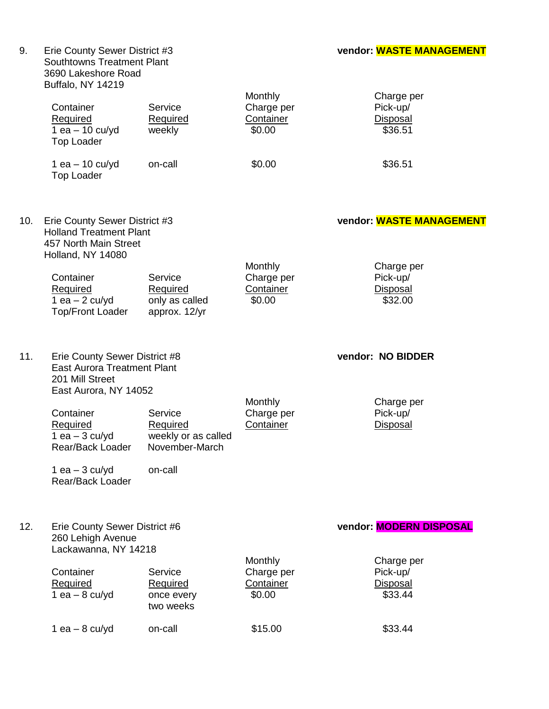9. Erie County Sewer District #3 **vendor: WASTE MANAGEMENT** Erie County Sewer District #3<br>Southtowns Treatment Plant 3690 Lakeshore Road Buffalo, NY 14219

|     | BUILLER, INT 14219<br>Container<br>Required<br>1 ea $-$ 10 cu/yd<br><b>Top Loader</b><br>1 ea $-$ 10 cu/yd<br><b>Top Loader</b>                                                                                                 | Service<br>Required<br>weekly<br>on-call                                | Monthly<br>Charge per<br>Container<br>\$0.00<br>\$0.00         | Charge per<br>Pick-up/<br>Disposal<br>\$36.51<br>\$36.51                            |
|-----|---------------------------------------------------------------------------------------------------------------------------------------------------------------------------------------------------------------------------------|-------------------------------------------------------------------------|----------------------------------------------------------------|-------------------------------------------------------------------------------------|
| 10. | Erie County Sewer District #3<br><b>Holland Treatment Plant</b><br>457 North Main Street<br>Holland, NY 14080<br>Container<br>Required<br>1 ea $-$ 2 cu/yd<br><b>Top/Front Loader</b>                                           | Service<br>Required<br>only as called<br>approx. 12/yr                  | Monthly<br>Charge per<br>Container<br>\$0.00                   | vendor: WASTE MANAGEMENT<br>Charge per<br>Pick-up/<br><b>Disposal</b><br>\$32.00    |
| 11. | Erie County Sewer District #8<br><b>East Aurora Treatment Plant</b><br>201 Mill Street<br>East Aurora, NY 14052<br>Container<br><b>Required</b><br>1 ea $-$ 3 cu/yd<br>Rear/Back Loader<br>1 ea $-$ 3 cu/yd<br>Rear/Back Loader | Service<br>Required<br>weekly or as called<br>November-March<br>on-call | Monthly<br>Charge per<br>Container                             | vendor: NO BIDDER<br>Charge per<br>Pick-up/<br>Disposal                             |
| 12. | Erie County Sewer District #6<br>260 Lehigh Avenue<br>Lackawanna, NY 14218<br>Container<br>Required<br>$1$ ea $-$ 8 cu/yd<br>1 ea $-$ 8 cu/yd                                                                                   | Service<br><b>Required</b><br>once every<br>two weeks<br>on-call        | Monthly<br>Charge per<br><b>Container</b><br>\$0.00<br>\$15.00 | vendor: MODERN DISPOSAL<br>Charge per<br>Pick-up/<br>Disposal<br>\$33.44<br>\$33.44 |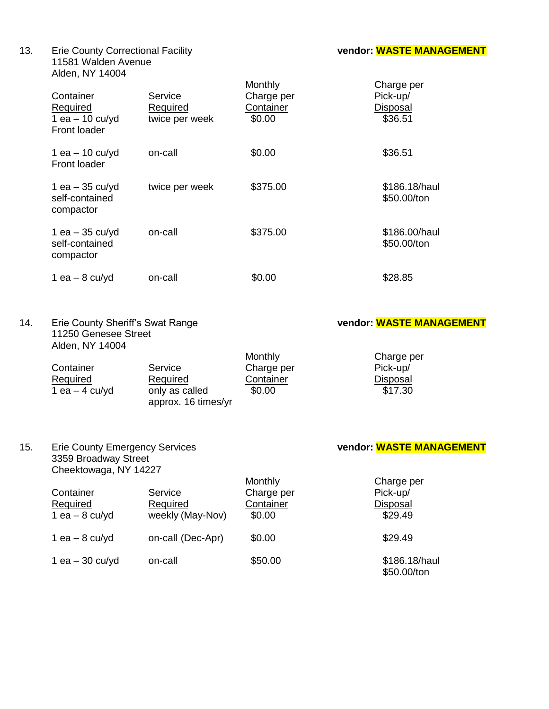13. Erie County Correctional Facility **vendor: WASTE MANAGEMENT** 11581 Walden Avenue Alden, NY 14004

| Container<br>Required<br>1 ea $-$ 10 cu/yd<br>Front loader | Service<br>Required<br>twice per week | Monthly<br>Charge per<br>Container<br>\$0.00 | Charge per<br>Pick-up/<br><b>Disposal</b><br>\$36.51 |
|------------------------------------------------------------|---------------------------------------|----------------------------------------------|------------------------------------------------------|
| 1 ea $-$ 10 cu/yd<br>Front loader                          | on-call                               | \$0.00                                       | \$36.51                                              |
| 1 ea $-35$ cu/yd<br>self-contained<br>compactor            | twice per week                        | \$375.00                                     | \$186.18/haul<br>\$50.00/ton                         |
| 1 ea $-35$ cu/yd<br>self-contained<br>compactor            | on-call                               | \$375.00                                     | \$186.00/haul<br>\$50.00/ton                         |
| 1 ea $-$ 8 cu/yd                                           | on-call                               | \$0.00                                       | \$28.85                                              |

14. Erie County Sheriff's Swat Range **vendor: WASTE MANAGEMENT** 11250 Genesee Street Alden, NY 14004

|                                       | Monthly    | Charge per |
|---------------------------------------|------------|------------|
| Service                               | Charge per | Pick-up/   |
| Required                              | Container  | Disposal   |
| only as called<br>approx. 16 times/yr | \$0.00     | \$17.30    |
|                                       |            |            |

# 15. Erie County Emergency Services **vendor: WASTE MANAGEMENT** Erie County Emergency Services<br>3359 Broadway Street

| Cheektowaga, NY 14227                     |                                         |                                              |                                                      |
|-------------------------------------------|-----------------------------------------|----------------------------------------------|------------------------------------------------------|
| Container<br>Required<br>1 ea $-$ 8 cu/yd | Service<br>Required<br>weekly (May-Nov) | Monthly<br>Charge per<br>Container<br>\$0.00 | Charge per<br>Pick-up/<br><b>Disposal</b><br>\$29.49 |
| 1 ea $-$ 8 cu/yd                          | on-call (Dec-Apr)                       | \$0.00                                       | \$29.49                                              |
| 1 ea $-30$ cu/yd                          | on-call                                 | \$50.00                                      | \$186.18/haul<br>\$50.00/ton                         |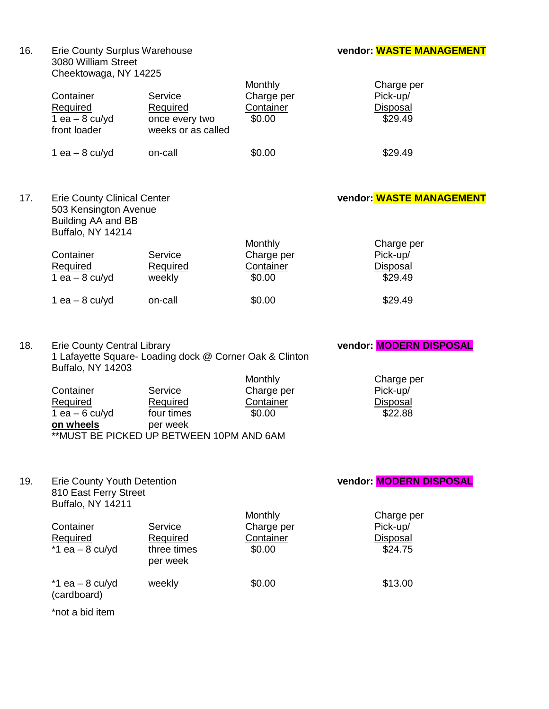### vendor: **WASTE MANAGEMENT**

| 16. | <b>Erie County Surplus Warehouse</b> |
|-----|--------------------------------------|
|     | 3080 William Street                  |
|     | Cheektowaga, NY 14225                |

|     | Container<br>Required<br>$1$ ea $-$ 8 cu/yd<br>front loader                                            | Service<br>Required<br>once every two<br>weeks or as called                                | Monthly<br>Charge per<br>Container<br>\$0.00 | Charge per<br>Pick-up/<br>Disposal<br>\$29.49 |
|-----|--------------------------------------------------------------------------------------------------------|--------------------------------------------------------------------------------------------|----------------------------------------------|-----------------------------------------------|
|     | 1 ea $-$ 8 cu/yd                                                                                       | on-call                                                                                    | \$0.00                                       | \$29.49                                       |
| 17. | <b>Erie County Clinical Center</b><br>503 Kensington Avenue<br>Building AA and BB<br>Buffalo, NY 14214 |                                                                                            |                                              | vendor: WASTE MANAGEMENT                      |
|     | Container<br>Required<br>1 ea $-$ 8 cu/yd                                                              | Service<br>Required<br>weekly                                                              | Monthly<br>Charge per<br>Container<br>\$0.00 | Charge per<br>Pick-up/<br>Disposal<br>\$29.49 |
|     | 1 ea $-$ 8 cu/yd                                                                                       | on-call                                                                                    | \$0.00                                       | \$29.49                                       |
| 18. | <b>Erie County Central Library</b><br><b>Buffalo, NY 14203</b>                                         | 1 Lafayette Square- Loading dock @ Corner Oak & Clinton                                    | Monthly                                      | vendor: MODERN DISPOSAL<br>Charge per         |
|     | Container<br>Required<br>1 ea $-6$ cu/yd<br>on wheels                                                  | Service<br>Required<br>four times<br>per week<br>** MUST BE PICKED UP BETWEEN 10PM AND 6AM | Charge per<br>Container<br>\$0.00            | Pick-up/<br>Disposal<br>\$22.88               |

19. Erie County Youth Detention **vendor: MODERN DISPOSAL**

810 East Ferry Street Buffalo, NY 14211 Monthly Charge per<br>
Charge per Pick-up/ Container Service Charge per Pick-up/<br>
Required Required Container Disposal Required Container Disposal<br>three times \$0.00 \$24.75  $\frac{1}{2}$  a.e.  $-8$  cu/yd per week  $*1$  ea – 8 cu/yd weekly  $$0.00$   $$13.00$ (cardboard)

\*not a bid item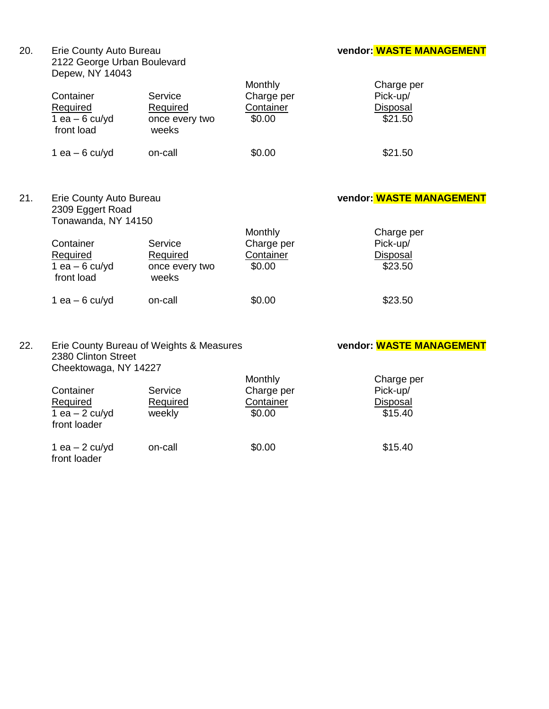| 20. | Erie County Auto Bureau<br>2122 George Urban Boulevard<br>Depew, NY 14043 |                                                       |                                                     | vendor: WASTE MANAGEMENT                             |  |
|-----|---------------------------------------------------------------------------|-------------------------------------------------------|-----------------------------------------------------|------------------------------------------------------|--|
|     | Container<br>Required<br>1 ea $-6$ cu/yd<br>front load                    | Service<br>Required<br>once every two<br>weeks        | <b>Monthly</b><br>Charge per<br>Container<br>\$0.00 | Charge per<br>Pick-up/<br><b>Disposal</b><br>\$21.50 |  |
|     | 1 ea $-6$ cu/yd                                                           | on-call                                               | \$0.00                                              | \$21.50                                              |  |
| 21. | Erie County Auto Bureau<br>2309 Eggert Road<br>Tonawanda, NY 14150        |                                                       |                                                     | vendor: WASTE MANAGEMENT                             |  |
|     | Container<br><b>Required</b><br>1 ea $-6$ cu/yd<br>front load             | Service<br><b>Required</b><br>once every two<br>weeks | Monthly<br>Charge per<br>Container<br>\$0.00        | Charge per<br>Pick-up/<br><b>Disposal</b><br>\$23.50 |  |
|     | 1 ea $-6$ cu/yd                                                           | on-call                                               | \$0.00                                              | \$23.50                                              |  |
| 22. | 2380 Clinton Street<br>Cheektowaga, NY 14227                              | Erie County Bureau of Weights & Measures              |                                                     | vendor: WASTE MANAGEMENT                             |  |

|                                 |          | Monthly    | Charge per |
|---------------------------------|----------|------------|------------|
| Container                       | Service  | Charge per | Pick-up/   |
| Required                        | Required | Container  | Disposal   |
| 1 ea $-2$ cu/yd<br>front loader | weekly   | \$0.00     | \$15.40    |
| 1 ea $-2$ cu/yd<br>front loader | on-call  | \$0.00     | \$15.40    |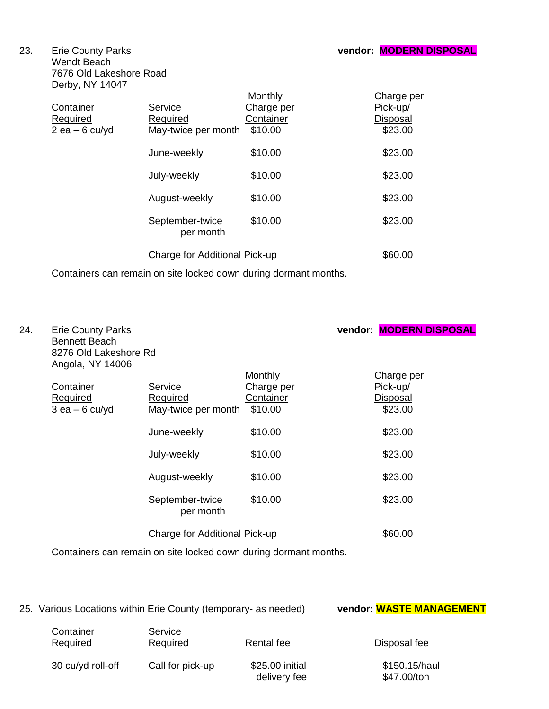Wendt Beach 7676 Old Lakeshore Road Derby, NY 14047

| Container<br>Required<br>2 ea – 6 cu/yd | Service<br>Required<br>May-twice per month | Monthly<br>Charge per<br>Container<br>\$10.00 | Charge per<br>Pick-up/<br>Disposal<br>\$23.00 |
|-----------------------------------------|--------------------------------------------|-----------------------------------------------|-----------------------------------------------|
|                                         | June-weekly                                | \$10.00                                       | \$23.00                                       |
|                                         | July-weekly                                | \$10.00                                       | \$23.00                                       |
|                                         | August-weekly                              | \$10.00                                       | \$23.00                                       |
|                                         | September-twice<br>per month               | \$10.00                                       | \$23.00                                       |
|                                         | Charge for Additional Pick-up              |                                               | \$60.00                                       |

Containers can remain on site locked down during dormant months.

| 24. | <b>Erie County Parks</b><br><b>Bennett Beach</b><br>8276 Old Lakeshore Rd<br>Angola, NY 14006 |                                            |                                               | vendor: MODERN DISPOSAL                       |
|-----|-----------------------------------------------------------------------------------------------|--------------------------------------------|-----------------------------------------------|-----------------------------------------------|
|     | Container<br>Required<br>$3$ ea $-6$ cu/yd                                                    | Service<br>Required<br>May-twice per month | Monthly<br>Charge per<br>Container<br>\$10.00 | Charge per<br>Pick-up/<br>Disposal<br>\$23.00 |
|     |                                                                                               | June-weekly                                | \$10.00                                       | \$23.00                                       |
|     |                                                                                               | July-weekly                                | \$10.00                                       | \$23.00                                       |
|     |                                                                                               | August-weekly                              | \$10.00                                       | \$23.00                                       |
|     |                                                                                               | September-twice<br>per month               | \$10.00                                       | \$23.00                                       |
|     |                                                                                               | Charge for Additional Pick-up              |                                               | \$60.00                                       |

Containers can remain on site locked down during dormant months.

25. Various Locations within Erie County (temporary- as needed) vendor: **WASTE MANAGEMENT** 

Required Required Rental fee Disposal fee

Container Service

delivery fee

30 cu/yd roll-off Call for pick-up \$25.00 initial \$150.15/haul<br>delivery fee \$47.00/ton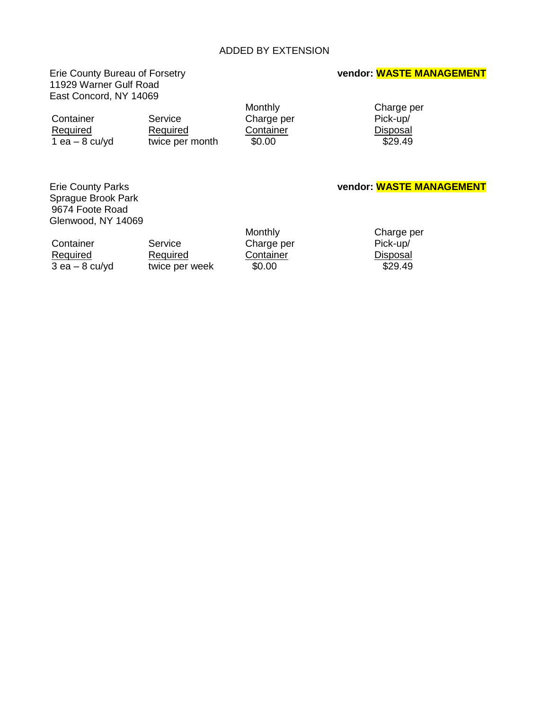## ADDED BY EXTENSION

# 11929 Warner Gulf Road East Concord, NY 14069

### Erie County Bureau of Forsetry **vendor: WASTE MANAGEMENT**

Container Service Charge per Required Required Container Disposal<br>
Required Required Container Disposal<br>
Required twice per month \$0.00  $1$  ea – 8 cu/yd twice per month  $$0.00$ 

Monthly Charge per<br>
Charge per Pick-up/

### Erie County Parks **vendor: WASTE MANAGEMENT**

 Sprague Brook Park 9674 Foote Road Glenwood, NY 14069

Container Service Charge per Pick-up/<br>
Required Required Container Disposal

Required Required Required Container Disposal<br>  $\frac{3 \text{ ea} - 8 \text{ cu/yd}}{29.49}$  and twice per week  $\frac{50.00}{29.49}$  $3$  ea –  $8$  cu/yd  $100$  twice per week

Monthly **Charge per**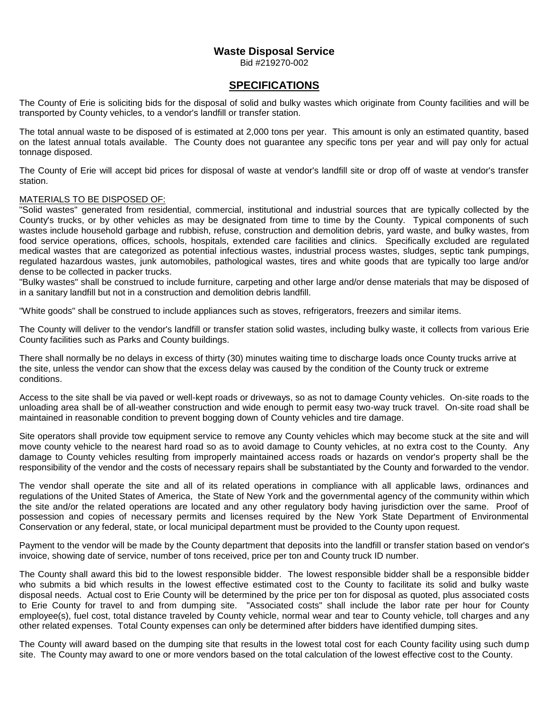## **Waste Disposal Service**

Bid #219270-002

### **SPECIFICATIONS**

The County of Erie is soliciting bids for the disposal of solid and bulky wastes which originate from County facilities and will be transported by County vehicles, to a vendor's landfill or transfer station.

The total annual waste to be disposed of is estimated at 2,000 tons per year. This amount is only an estimated quantity, based on the latest annual totals available. The County does not guarantee any specific tons per year and will pay only for actual tonnage disposed.

The County of Erie will accept bid prices for disposal of waste at vendor's landfill site or drop off of waste at vendor's transfer station.

### MATERIALS TO BE DISPOSED OF:

"Solid wastes" generated from residential, commercial, institutional and industrial sources that are typically collected by the County's trucks, or by other vehicles as may be designated from time to time by the County. Typical components of such wastes include household garbage and rubbish, refuse, construction and demolition debris, yard waste, and bulky wastes, from food service operations, offices, schools, hospitals, extended care facilities and clinics. Specifically excluded are regulated medical wastes that are categorized as potential infectious wastes, industrial process wastes, sludges, septic tank pumpings, regulated hazardous wastes, junk automobiles, pathological wastes, tires and white goods that are typically too large and/or dense to be collected in packer trucks.

"Bulky wastes" shall be construed to include furniture, carpeting and other large and/or dense materials that may be disposed of in a sanitary landfill but not in a construction and demolition debris landfill.

"White goods" shall be construed to include appliances such as stoves, refrigerators, freezers and similar items.

The County will deliver to the vendor's landfill or transfer station solid wastes, including bulky waste, it collects from various Erie County facilities such as Parks and County buildings.

There shall normally be no delays in excess of thirty (30) minutes waiting time to discharge loads once County trucks arrive at the site, unless the vendor can show that the excess delay was caused by the condition of the County truck or extreme conditions.

Access to the site shall be via paved or well-kept roads or driveways, so as not to damage County vehicles. On-site roads to the unloading area shall be of all-weather construction and wide enough to permit easy two-way truck travel. On-site road shall be maintained in reasonable condition to prevent bogging down of County vehicles and tire damage.

Site operators shall provide tow equipment service to remove any County vehicles which may become stuck at the site and will move county vehicle to the nearest hard road so as to avoid damage to County vehicles, at no extra cost to the County. Any damage to County vehicles resulting from improperly maintained access roads or hazards on vendor's property shall be the responsibility of the vendor and the costs of necessary repairs shall be substantiated by the County and forwarded to the vendor.

The vendor shall operate the site and all of its related operations in compliance with all applicable laws, ordinances and regulations of the United States of America, the State of New York and the governmental agency of the community within which the site and/or the related operations are located and any other regulatory body having jurisdiction over the same. Proof of possession and copies of necessary permits and licenses required by the New York State Department of Environmental Conservation or any federal, state, or local municipal department must be provided to the County upon request.

Payment to the vendor will be made by the County department that deposits into the landfill or transfer station based on vendor's invoice, showing date of service, number of tons received, price per ton and County truck ID number.

The County shall award this bid to the lowest responsible bidder. The lowest responsible bidder shall be a responsible bidder who submits a bid which results in the lowest effective estimated cost to the County to facilitate its solid and bulky waste disposal needs. Actual cost to Erie County will be determined by the price per ton for disposal as quoted, plus associated costs to Erie County for travel to and from dumping site. "Associated costs" shall include the labor rate per hour for County employee(s), fuel cost, total distance traveled by County vehicle, normal wear and tear to County vehicle, toll charges and any other related expenses. Total County expenses can only be determined after bidders have identified dumping sites.

The County will award based on the dumping site that results in the lowest total cost for each County facility using such dump site. The County may award to one or more vendors based on the total calculation of the lowest effective cost to the County.